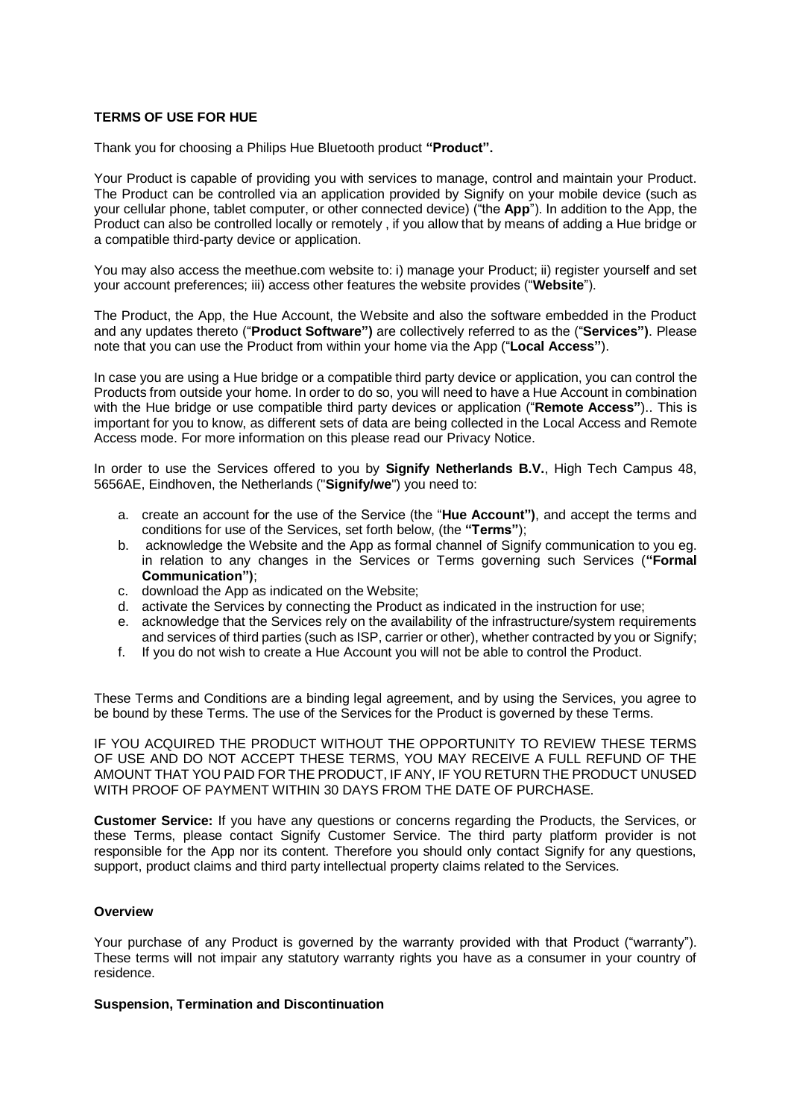### **TERMS OF USE FOR HUE**

Thank you for choosing a Philips Hue Bluetooth product **"Product".**

Your Product is capable of providing you with services to manage, control and maintain your Product. The Product can be controlled via an application provided by Signify on your mobile device (such as your cellular phone, tablet computer, or other connected device) ("the **App**"). In addition to the App, the Product can also be controlled locally or remotely , if you allow that by means of adding a Hue bridge or a compatible third-party device or application.

You may also access the meethue.com website to: i) manage your Product; ii) register yourself and set your account preferences; iii) access other features the website provides ("**Website**").

The Product, the App, the Hue Account, the Website and also the software embedded in the Product and any updates thereto ("**Product Software")** are collectively referred to as the ("**Services")**. Please note that you can use the Product from within your home via the App ("**Local Access"**).

In case you are using a Hue bridge or a compatible third party device or application, you can control the Products from outside your home. In order to do so, you will need to have a Hue Account in combination with the Hue bridge or use compatible third party devices or application ("**Remote Access"**).. This is important for you to know, as different sets of data are being collected in the Local Access and Remote Access mode. For more information on this please read our Privacy Notice.

In order to use the Services offered to you by **Signify Netherlands B.V.**, High Tech Campus 48, 5656AE, Eindhoven, the Netherlands ("**Signify/we**") you need to:

- a. create an account for the use of the Service (the "**Hue Account")**, and accept the terms and conditions for use of the Services, set forth below, (the **"Terms"**);
- b. acknowledge the Website and the App as formal channel of Signify communication to you eg. in relation to any changes in the Services or Terms governing such Services (**"Formal Communication")**;
- c. download the App as indicated on the Website;
- d. activate the Services by connecting the Product as indicated in the instruction for use;
- e. acknowledge that the Services rely on the availability of the infrastructure/system requirements and services of third parties (such as ISP, carrier or other), whether contracted by you or Signify;
- f. If you do not wish to create a Hue Account you will not be able to control the Product.

These Terms and Conditions are a binding legal agreement, and by using the Services, you agree to be bound by these Terms. The use of the Services for the Product is governed by these Terms.

IF YOU ACQUIRED THE PRODUCT WITHOUT THE OPPORTUNITY TO REVIEW THESE TERMS OF USE AND DO NOT ACCEPT THESE TERMS, YOU MAY RECEIVE A FULL REFUND OF THE AMOUNT THAT YOU PAID FOR THE PRODUCT, IF ANY, IF YOU RETURN THE PRODUCT UNUSED WITH PROOF OF PAYMENT WITHIN 30 DAYS FROM THE DATE OF PURCHASE.

**Customer Service:** If you have any questions or concerns regarding the Products, the Services, or these Terms, please contact Signify Customer Service. The third party platform provider is not responsible for the App nor its content. Therefore you should only contact Signify for any questions, support, product claims and third party intellectual property claims related to the Services.

# **Overview**

Your purchase of any Product is governed by the warranty provided with that Product ("warranty"). These terms will not impair any statutory warranty rights you have as a consumer in your country of residence.

### **Suspension, Termination and Discontinuation**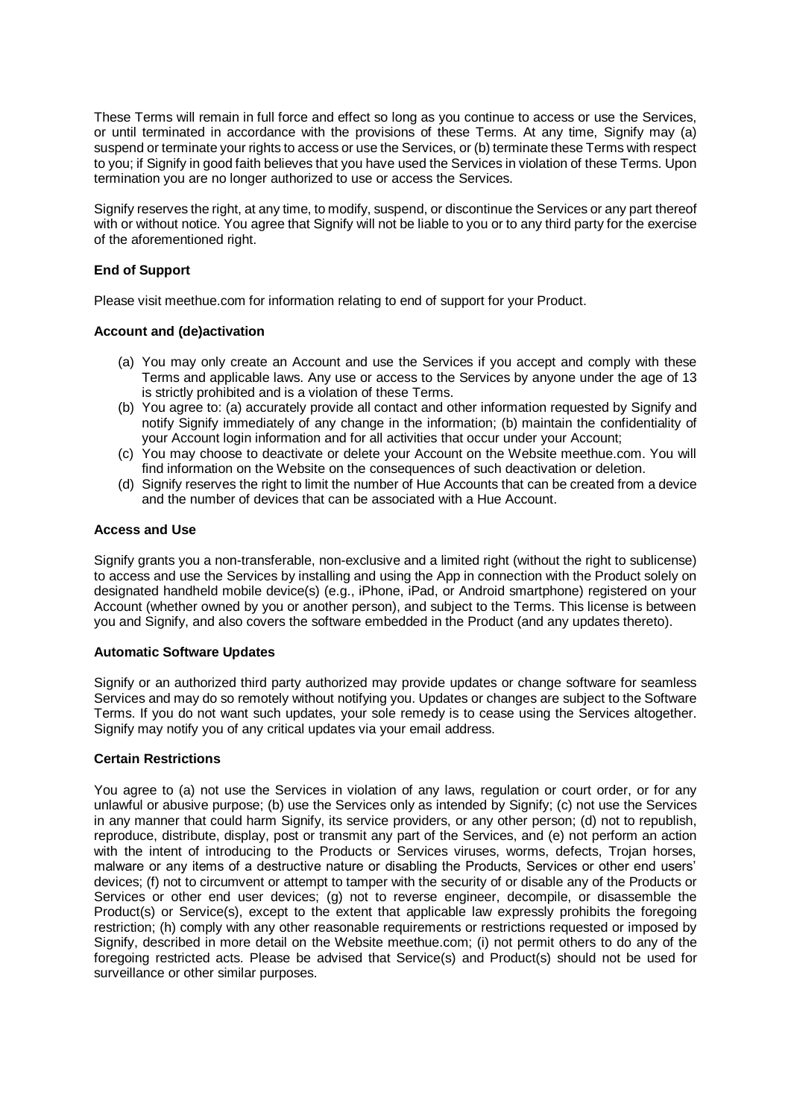These Terms will remain in full force and effect so long as you continue to access or use the Services, or until terminated in accordance with the provisions of these Terms. At any time, Signify may (a) suspend or terminate your rights to access or use the Services, or (b) terminate these Terms with respect to you; if Signify in good faith believes that you have used the Services in violation of these Terms. Upon termination you are no longer authorized to use or access the Services.

Signify reserves the right, at any time, to modify, suspend, or discontinue the Services or any part thereof with or without notice. You agree that Signify will not be liable to you or to any third party for the exercise of the aforementioned right.

# **End of Support**

Please visit meethue.com for information relating to end of support for your Product.

## **Account and (de)activation**

- (a) You may only create an Account and use the Services if you accept and comply with these Terms and applicable laws. Any use or access to the Services by anyone under the age of 13 is strictly prohibited and is a violation of these Terms.
- (b) You agree to: (a) accurately provide all contact and other information requested by Signify and notify Signify immediately of any change in the information; (b) maintain the confidentiality of your Account login information and for all activities that occur under your Account;
- (c) You may choose to deactivate or delete your Account on the Website meethue.com. You will find information on the Website on the consequences of such deactivation or deletion.
- (d) Signify reserves the right to limit the number of Hue Accounts that can be created from a device and the number of devices that can be associated with a Hue Account.

### **Access and Use**

Signify grants you a non-transferable, non-exclusive and a limited right (without the right to sublicense) to access and use the Services by installing and using the App in connection with the Product solely on designated handheld mobile device(s) (e.g., iPhone, iPad, or Android smartphone) registered on your Account (whether owned by you or another person), and subject to the Terms. This license is between you and Signify, and also covers the software embedded in the Product (and any updates thereto).

### **Automatic Software Updates**

Signify or an authorized third party authorized may provide updates or change software for seamless Services and may do so remotely without notifying you. Updates or changes are subject to the Software Terms. If you do not want such updates, your sole remedy is to cease using the Services altogether. Signify may notify you of any critical updates via your email address.

## **Certain Restrictions**

You agree to (a) not use the Services in violation of any laws, regulation or court order, or for any unlawful or abusive purpose; (b) use the Services only as intended by Signify; (c) not use the Services in any manner that could harm Signify, its service providers, or any other person; (d) not to republish, reproduce, distribute, display, post or transmit any part of the Services, and (e) not perform an action with the intent of introducing to the Products or Services viruses, worms, defects, Trojan horses, malware or any items of a destructive nature or disabling the Products, Services or other end users' devices; (f) not to circumvent or attempt to tamper with the security of or disable any of the Products or Services or other end user devices; (g) not to reverse engineer, decompile, or disassemble the Product(s) or Service(s), except to the extent that applicable law expressly prohibits the foregoing restriction; (h) comply with any other reasonable requirements or restrictions requested or imposed by Signify, described in more detail on the Website meethue.com; (i) not permit others to do any of the foregoing restricted acts. Please be advised that Service(s) and Product(s) should not be used for surveillance or other similar purposes.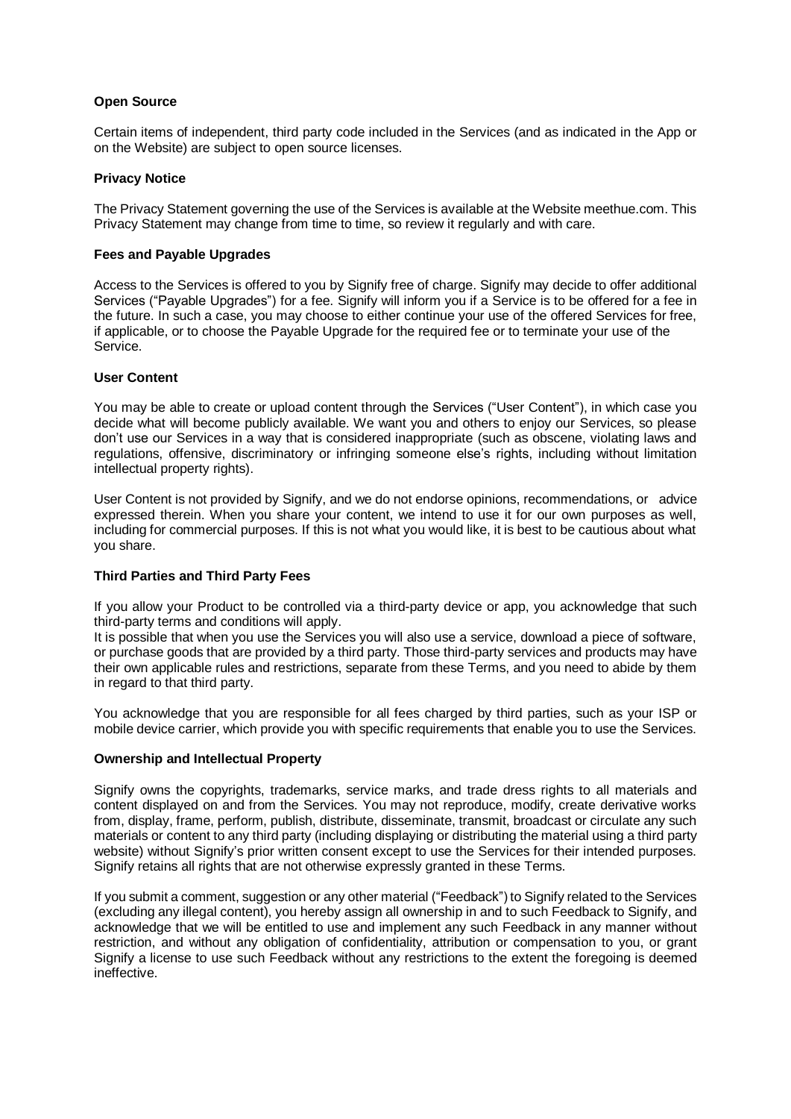# **Open Source**

Certain items of independent, third party code included in the Services (and as indicated in the App or on the Website) are subject to open source licenses.

## **Privacy Notice**

The Privacy Statement governing the use of the Services is available at the Website meethue.com. This Privacy Statement may change from time to time, so review it regularly and with care.

## **Fees and Payable Upgrades**

Access to the Services is offered to you by Signify free of charge. Signify may decide to offer additional Services ("Payable Upgrades") for a fee. Signify will inform you if a Service is to be offered for a fee in the future. In such a case, you may choose to either continue your use of the offered Services for free, if applicable, or to choose the Payable Upgrade for the required fee or to terminate your use of the Service.

## **User Content**

You may be able to create or upload content through the Services ("User Content"), in which case you decide what will become publicly available. We want you and others to enjoy our Services, so please don't use our Services in a way that is considered inappropriate (such as obscene, violating laws and regulations, offensive, discriminatory or infringing someone else's rights, including without limitation intellectual property rights).

User Content is not provided by Signify, and we do not endorse opinions, recommendations, or advice expressed therein. When you share your content, we intend to use it for our own purposes as well, including for commercial purposes. If this is not what you would like, it is best to be cautious about what you share.

# **Third Parties and Third Party Fees**

If you allow your Product to be controlled via a third-party device or app, you acknowledge that such third-party terms and conditions will apply.

It is possible that when you use the Services you will also use a service, download a piece of software, or purchase goods that are provided by a third party. Those third-party services and products may have their own applicable rules and restrictions, separate from these Terms, and you need to abide by them in regard to that third party.

You acknowledge that you are responsible for all fees charged by third parties, such as your ISP or mobile device carrier, which provide you with specific requirements that enable you to use the Services.

### **Ownership and Intellectual Property**

Signify owns the copyrights, trademarks, service marks, and trade dress rights to all materials and content displayed on and from the Services. You may not reproduce, modify, create derivative works from, display, frame, perform, publish, distribute, disseminate, transmit, broadcast or circulate any such materials or content to any third party (including displaying or distributing the material using a third party website) without Signify's prior written consent except to use the Services for their intended purposes. Signify retains all rights that are not otherwise expressly granted in these Terms.

If you submit a comment, suggestion or any other material ("Feedback") to Signify related to the Services (excluding any illegal content), you hereby assign all ownership in and to such Feedback to Signify, and acknowledge that we will be entitled to use and implement any such Feedback in any manner without restriction, and without any obligation of confidentiality, attribution or compensation to you, or grant Signify a license to use such Feedback without any restrictions to the extent the foregoing is deemed ineffective.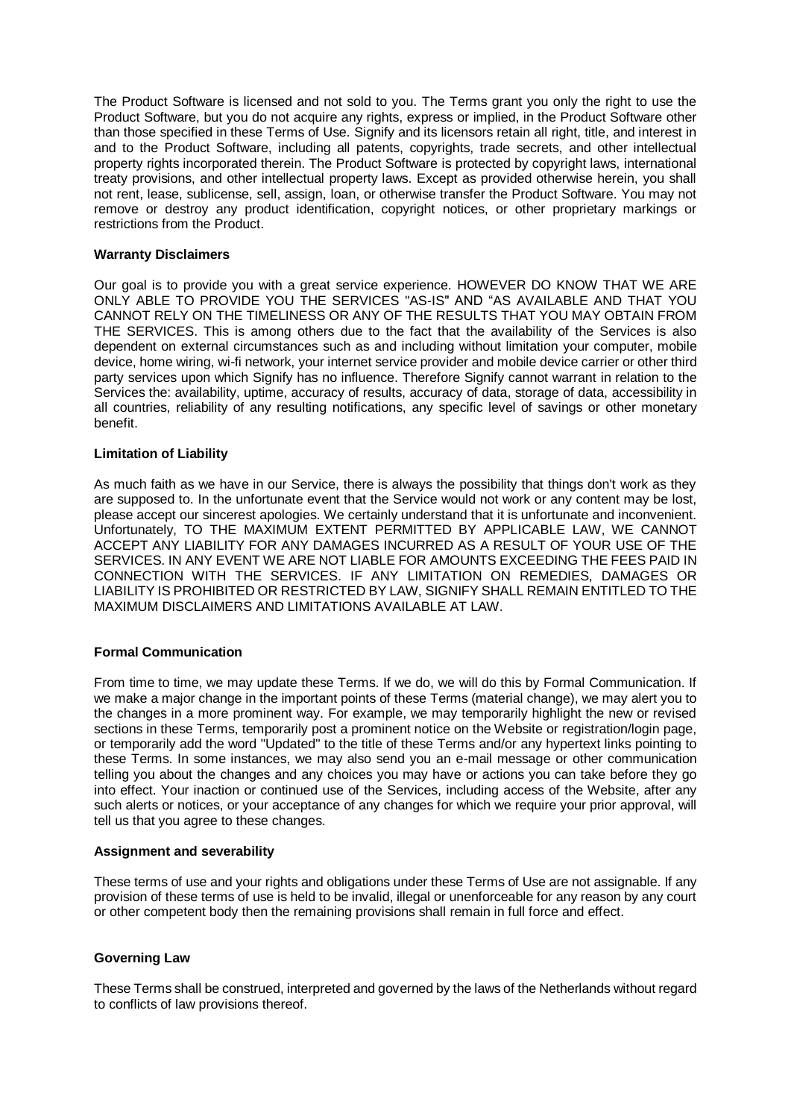The Product Software is licensed and not sold to you. The Terms grant you only the right to use the Product Software, but you do not acquire any rights, express or implied, in the Product Software other than those specified in these Terms of Use. Signify and its licensors retain all right, title, and interest in and to the Product Software, including all patents, copyrights, trade secrets, and other intellectual property rights incorporated therein. The Product Software is protected by copyright laws, international treaty provisions, and other intellectual property laws. Except as provided otherwise herein, you shall not rent, lease, sublicense, sell, assign, loan, or otherwise transfer the Product Software. You may not remove or destroy any product identification, copyright notices, or other proprietary markings or restrictions from the Product.

## **Warranty Disclaimers**

Our goal is to provide you with a great service experience. HOWEVER DO KNOW THAT WE ARE ONLY ABLE TO PROVIDE YOU THE SERVICES "AS-IS" AND "AS AVAILABLE AND THAT YOU CANNOT RELY ON THE TIMELINESS OR ANY OF THE RESULTS THAT YOU MAY OBTAIN FROM THE SERVICES. This is among others due to the fact that the availability of the Services is also dependent on external circumstances such as and including without limitation your computer, mobile device, home wiring, wi-fi network, your internet service provider and mobile device carrier or other third party services upon which Signify has no influence. Therefore Signify cannot warrant in relation to the Services the: availability, uptime, accuracy of results, accuracy of data, storage of data, accessibility in all countries, reliability of any resulting notifications, any specific level of savings or other monetary benefit.

## **Limitation of Liability**

As much faith as we have in our Service, there is always the possibility that things don't work as they are supposed to. In the unfortunate event that the Service would not work or any content may be lost, please accept our sincerest apologies. We certainly understand that it is unfortunate and inconvenient. Unfortunately, TO THE MAXIMUM EXTENT PERMITTED BY APPLICABLE LAW, WE CANNOT ACCEPT ANY LIABILITY FOR ANY DAMAGES INCURRED AS A RESULT OF YOUR USE OF THE SERVICES. IN ANY EVENT WE ARE NOT LIABLE FOR AMOUNTS EXCEEDING THE FEES PAID IN CONNECTION WITH THE SERVICES. IF ANY LIMITATION ON REMEDIES, DAMAGES OR LIABILITY IS PROHIBITED OR RESTRICTED BY LAW, SIGNIFY SHALL REMAIN ENTITLED TO THE MAXIMUM DISCLAIMERS AND LIMITATIONS AVAILABLE AT LAW.

## **Formal Communication**

From time to time, we may update these Terms. If we do, we will do this by Formal Communication. If we make a major change in the important points of these Terms (material change), we may alert you to the changes in a more prominent way. For example, we may temporarily highlight the new or revised sections in these Terms, temporarily post a prominent notice on the Website or registration/login page, or temporarily add the word "Updated" to the title of these Terms and/or any hypertext links pointing to these Terms. In some instances, we may also send you an e-mail message or other communication telling you about the changes and any choices you may have or actions you can take before they go into effect. Your inaction or continued use of the Services, including access of the Website, after any such alerts or notices, or your acceptance of any changes for which we require your prior approval, will tell us that you agree to these changes.

### **Assignment and severability**

These terms of use and your rights and obligations under these Terms of Use are not assignable. If any provision of these terms of use is held to be invalid, illegal or unenforceable for any reason by any court or other competent body then the remaining provisions shall remain in full force and effect.

### **Governing Law**

These Terms shall be construed, interpreted and governed by the laws of the Netherlands without regard to conflicts of law provisions thereof.